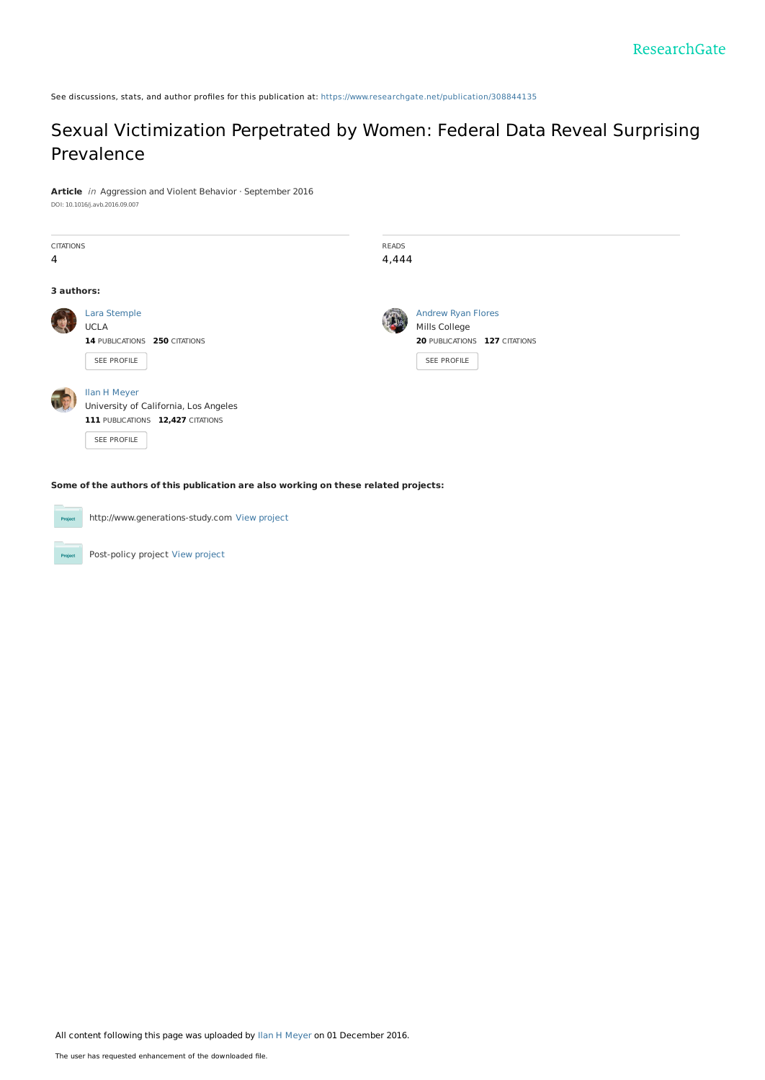See discussions, stats, and author profiles for this publication at: [https://www.researchgate.net/publication/308844135](https://www.researchgate.net/publication/308844135_Sexual_Victimization_Perpetrated_by_Women_Federal_Data_Reveal_Surprising_Prevalence?enrichId=rgreq-a22cfc97c53bf90b4b2c237f4229f8d6-XXX&enrichSource=Y292ZXJQYWdlOzMwODg0NDEzNTtBUzo0MzQ1MTYwMjUxODgzNTJAMTQ4MDYwODEwMTQ1MQ%3D%3D&el=1_x_2&_esc=publicationCoverPdf)

## Sexual [Victimization](https://www.researchgate.net/publication/308844135_Sexual_Victimization_Perpetrated_by_Women_Federal_Data_Reveal_Surprising_Prevalence?enrichId=rgreq-a22cfc97c53bf90b4b2c237f4229f8d6-XXX&enrichSource=Y292ZXJQYWdlOzMwODg0NDEzNTtBUzo0MzQ1MTYwMjUxODgzNTJAMTQ4MDYwODEwMTQ1MQ%3D%3D&el=1_x_3&_esc=publicationCoverPdf) Perpetrated by Women: Federal Data Reveal Surprising Prevalence

**Article** in Aggression and Violent Behavior · September 2016

|  |  |  |  |  | DOI: 10.1016/j.avb.2016.09.007 |
|--|--|--|--|--|--------------------------------|
|--|--|--|--|--|--------------------------------|

| <b>CITATIONS</b> |                                       | <b>READS</b> |                               |  |  |
|------------------|---------------------------------------|--------------|-------------------------------|--|--|
| 4                |                                       | 4,444        |                               |  |  |
|                  |                                       |              |                               |  |  |
| 3 authors:       |                                       |              |                               |  |  |
|                  | Lara Stemple                          |              | <b>Andrew Ryan Flores</b>     |  |  |
|                  | <b>UCLA</b>                           |              | Mills College                 |  |  |
|                  | 14 PUBLICATIONS 250 CITATIONS         |              | 20 PUBLICATIONS 127 CITATIONS |  |  |
|                  | SEE PROFILE                           |              | SEE PROFILE                   |  |  |
|                  |                                       |              |                               |  |  |
|                  | <b>Ilan H Meyer</b>                   |              |                               |  |  |
|                  | University of California, Los Angeles |              |                               |  |  |
|                  | 111 PUBLICATIONS 12,427 CITATIONS     |              |                               |  |  |
|                  | SEE PROFILE                           |              |                               |  |  |
|                  |                                       |              |                               |  |  |

**Some of the authors of this publication are also working on these related projects:**



http://www.generations-study.com View [project](https://www.researchgate.net/project/http-wwwgenerations-studycom?enrichId=rgreq-a22cfc97c53bf90b4b2c237f4229f8d6-XXX&enrichSource=Y292ZXJQYWdlOzMwODg0NDEzNTtBUzo0MzQ1MTYwMjUxODgzNTJAMTQ4MDYwODEwMTQ1MQ%3D%3D&el=1_x_9&_esc=publicationCoverPdf)

Post-policy project View [project](https://www.researchgate.net/project/Post-policy-project?enrichId=rgreq-a22cfc97c53bf90b4b2c237f4229f8d6-XXX&enrichSource=Y292ZXJQYWdlOzMwODg0NDEzNTtBUzo0MzQ1MTYwMjUxODgzNTJAMTQ4MDYwODEwMTQ1MQ%3D%3D&el=1_x_9&_esc=publicationCoverPdf)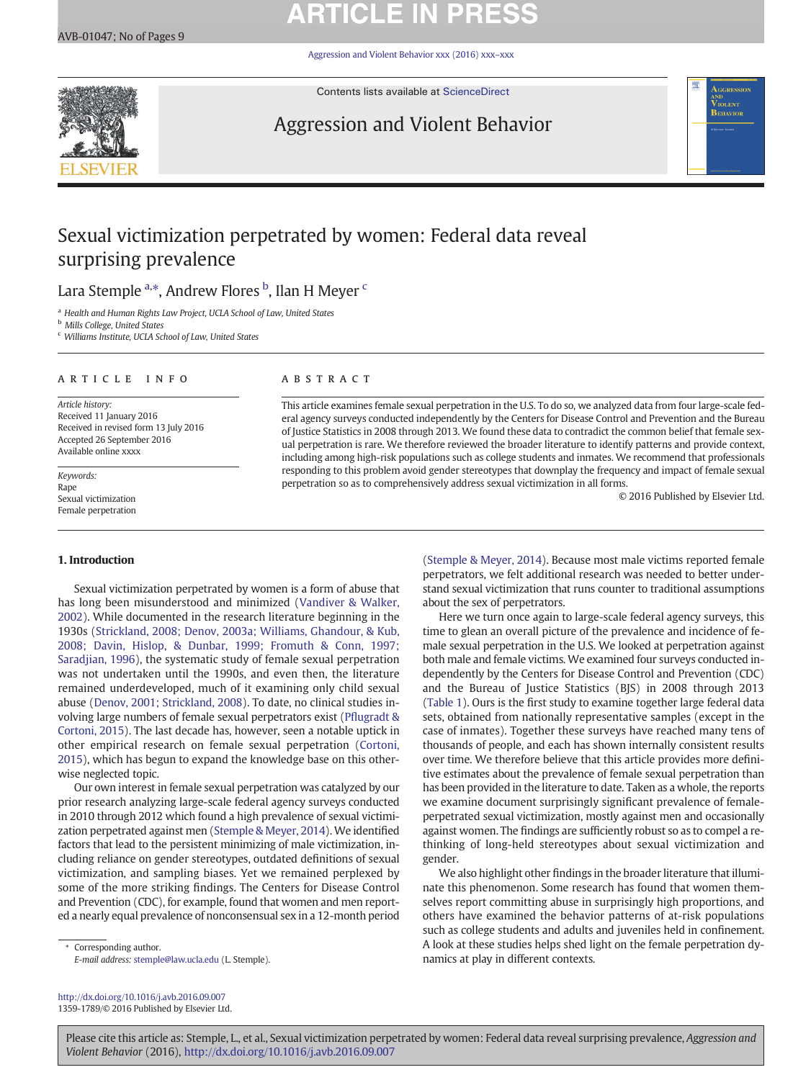# **ARTICLE IN PRESS**

[Aggression and Violent Behavior xxx \(2016\) xxx](http://dx.doi.org/10.1016/j.avb.2016.09.007)–xxx



Contents lists available at [ScienceDirect](http://www.sciencedirect.com/science/journal/13591789)

# Aggression and Violent Behavior



# Sexual victimization perpetrated by women: Federal data reveal surprising prevalence

## Lara Stemple <sup>a,</sup>\*, Andrew Flores <sup>b</sup>, Ilan H Meyer <sup>c</sup>

<sup>a</sup> Health and Human Rights Law Project, UCLA School of Law, United States

**b** Mills College, United States

<sup>c</sup> Williams Institute, UCLA School of Law, United States

#### article info abstract

Article history: Received 11 January 2016 Received in revised form 13 July 2016 Accepted 26 September 2016 Available online xxxx

Keywords: Rape Sexual victimization Female perpetration

### 1. Introduction

Sexual victimization perpetrated by women is a form of abuse that has long been misunderstood and minimized ([Vandiver & Walker,](#page-9-0) [2002\)](#page-9-0). While documented in the research literature beginning in the 1930s [\(Strickland, 2008; Denov, 2003a; Williams, Ghandour, & Kub,](#page-9-0) [2008; Davin, Hislop, & Dunbar, 1999; Fromuth & Conn, 1997;](#page-9-0) [Saradjian, 1996](#page-9-0)), the systematic study of female sexual perpetration was not undertaken until the 1990s, and even then, the literature remained underdeveloped, much of it examining only child sexual abuse [\(Denov, 2001; Strickland, 2008](#page-8-0)). To date, no clinical studies involving large numbers of female sexual perpetrators exist (Pfl[ugradt &](#page-9-0) [Cortoni, 2015](#page-9-0)). The last decade has, however, seen a notable uptick in other empirical research on female sexual perpetration [\(Cortoni,](#page-8-0) [2015\)](#page-8-0), which has begun to expand the knowledge base on this otherwise neglected topic.

Our own interest in female sexual perpetration was catalyzed by our prior research analyzing large-scale federal agency surveys conducted in 2010 through 2012 which found a high prevalence of sexual victimization perpetrated against men [\(Stemple & Meyer, 2014\)](#page-9-0). We identified factors that lead to the persistent minimizing of male victimization, including reliance on gender stereotypes, outdated definitions of sexual victimization, and sampling biases. Yet we remained perplexed by some of the more striking findings. The Centers for Disease Control and Prevention (CDC), for example, found that women and men reported a nearly equal prevalence of nonconsensual sex in a 12-month period

Corresponding author. E-mail address: [stemple@law.ucla.edu](mailto:stemple@law.ucla.edu) (L. Stemple).

<http://dx.doi.org/10.1016/j.avb.2016.09.007> 1359-1789/© 2016 Published by Elsevier Ltd.

This article examines female sexual perpetration in the U.S. To do so, we analyzed data from four large-scale federal agency surveys conducted independently by the Centers for Disease Control and Prevention and the Bureau of Justice Statistics in 2008 through 2013. We found these data to contradict the common belief that female sexual perpetration is rare. We therefore reviewed the broader literature to identify patterns and provide context, including among high-risk populations such as college students and inmates. We recommend that professionals responding to this problem avoid gender stereotypes that downplay the frequency and impact of female sexual perpetration so as to comprehensively address sexual victimization in all forms.

© 2016 Published by Elsevier Ltd.

[\(Stemple & Meyer, 2014\)](#page-9-0). Because most male victims reported female perpetrators, we felt additional research was needed to better understand sexual victimization that runs counter to traditional assumptions about the sex of perpetrators.

Here we turn once again to large-scale federal agency surveys, this time to glean an overall picture of the prevalence and incidence of female sexual perpetration in the U.S. We looked at perpetration against both male and female victims. We examined four surveys conducted independently by the Centers for Disease Control and Prevention (CDC) and the Bureau of Justice Statistics (BJS) in 2008 through 2013 [\(Table 1\)](#page-2-0). Ours is the first study to examine together large federal data sets, obtained from nationally representative samples (except in the case of inmates). Together these surveys have reached many tens of thousands of people, and each has shown internally consistent results over time. We therefore believe that this article provides more definitive estimates about the prevalence of female sexual perpetration than has been provided in the literature to date. Taken as a whole, the reports we examine document surprisingly significant prevalence of femaleperpetrated sexual victimization, mostly against men and occasionally against women. The findings are sufficiently robust so as to compel a rethinking of long-held stereotypes about sexual victimization and gender.

We also highlight other findings in the broader literature that illuminate this phenomenon. Some research has found that women themselves report committing abuse in surprisingly high proportions, and others have examined the behavior patterns of at-risk populations such as college students and adults and juveniles held in confinement. A look at these studies helps shed light on the female perpetration dynamics at play in different contexts.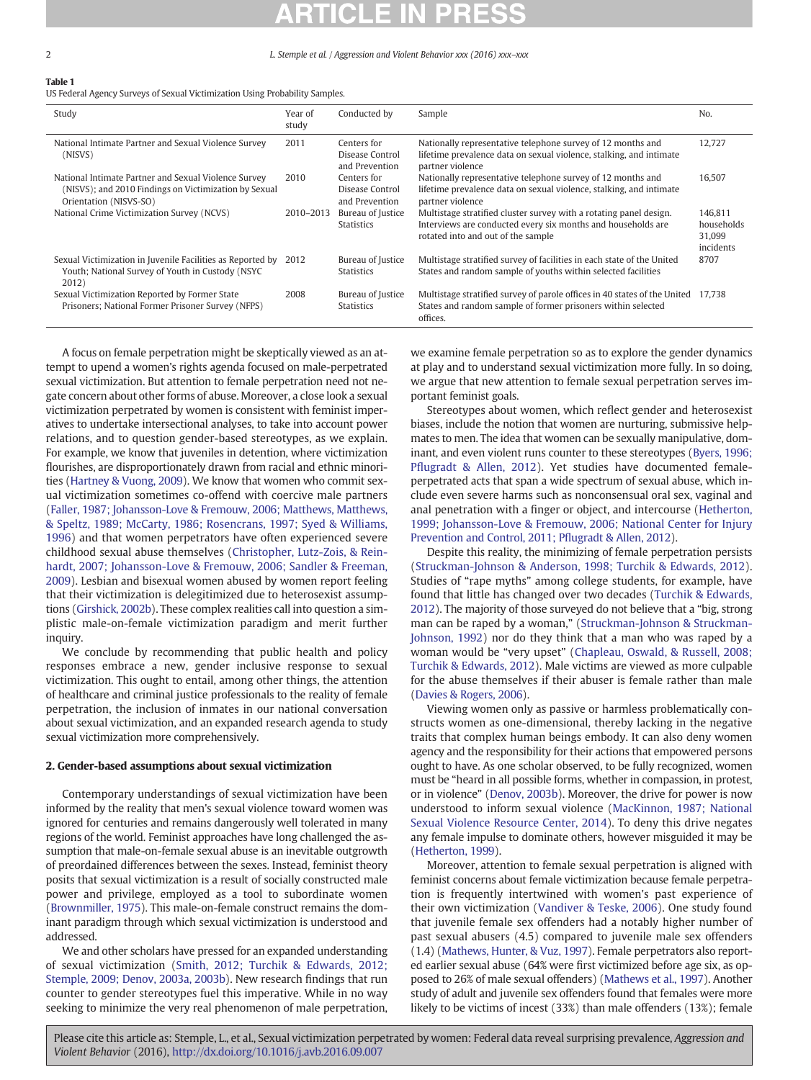## <span id="page-2-0"></span>Table 1

US Federal Agency Surveys of Sexual Victimization Using Probability Samples.

| Study                                                                                                                                   | Year of<br>study | Conducted by                                     | Sample                                                                                                                                                                   | N <sub>0</sub>                               |
|-----------------------------------------------------------------------------------------------------------------------------------------|------------------|--------------------------------------------------|--------------------------------------------------------------------------------------------------------------------------------------------------------------------------|----------------------------------------------|
| National Intimate Partner and Sexual Violence Survey<br>(NISVS)                                                                         | 2011             | Centers for<br>Disease Control<br>and Prevention | Nationally representative telephone survey of 12 months and<br>lifetime prevalence data on sexual violence, stalking, and intimate<br>partner violence                   | 12.727                                       |
| National Intimate Partner and Sexual Violence Survey<br>(NISVS); and 2010 Findings on Victimization by Sexual<br>Orientation (NISVS-SO) | 2010             | Centers for<br>Disease Control<br>and Prevention | Nationally representative telephone survey of 12 months and<br>lifetime prevalence data on sexual violence, stalking, and intimate<br>partner violence                   | 16.507                                       |
| National Crime Victimization Survey (NCVS)                                                                                              | 2010-2013        | Bureau of Justice<br><b>Statistics</b>           | Multistage stratified cluster survey with a rotating panel design.<br>Interviews are conducted every six months and households are<br>rotated into and out of the sample | 146.811<br>households<br>31.099<br>incidents |
| Sexual Victimization in Juvenile Facilities as Reported by<br>Youth; National Survey of Youth in Custody (NSYC<br>2012)                 | 2012             | Bureau of Justice<br><b>Statistics</b>           | Multistage stratified survey of facilities in each state of the United<br>States and random sample of youths within selected facilities                                  | 8707                                         |
| Sexual Victimization Reported by Former State<br>Prisoners; National Former Prisoner Survey (NFPS)                                      | 2008             | Bureau of Justice<br><b>Statistics</b>           | Multistage stratified survey of parole offices in 40 states of the United 17,738<br>States and random sample of former prisoners within selected<br>offices.             |                                              |

A focus on female perpetration might be skeptically viewed as an attempt to upend a women's rights agenda focused on male-perpetrated sexual victimization. But attention to female perpetration need not negate concern about other forms of abuse. Moreover, a close look a sexual victimization perpetrated by women is consistent with feminist imperatives to undertake intersectional analyses, to take into account power relations, and to question gender-based stereotypes, as we explain. For example, we know that juveniles in detention, where victimization flourishes, are disproportionately drawn from racial and ethnic minorities ([Hartney & Vuong, 2009](#page-9-0)). We know that women who commit sexual victimization sometimes co-offend with coercive male partners [\(Faller, 1987; Johansson-Love & Fremouw, 2006; Matthews, Matthews,](#page-9-0) [& Speltz, 1989; McCarty, 1986; Rosencrans, 1997; Syed & Williams,](#page-9-0) [1996](#page-9-0)) and that women perpetrators have often experienced severe childhood sexual abuse themselves ([Christopher, Lutz-Zois, & Rein](#page-8-0)[hardt, 2007; Johansson-Love & Fremouw, 2006; Sandler & Freeman,](#page-8-0) [2009\)](#page-8-0). Lesbian and bisexual women abused by women report feeling that their victimization is delegitimized due to heterosexist assumptions [\(Girshick, 2002b\)](#page-9-0). These complex realities call into question a simplistic male-on-female victimization paradigm and merit further inquiry.

We conclude by recommending that public health and policy responses embrace a new, gender inclusive response to sexual victimization. This ought to entail, among other things, the attention of healthcare and criminal justice professionals to the reality of female perpetration, the inclusion of inmates in our national conversation about sexual victimization, and an expanded research agenda to study sexual victimization more comprehensively.

### 2. Gender-based assumptions about sexual victimization

Contemporary understandings of sexual victimization have been informed by the reality that men's sexual violence toward women was ignored for centuries and remains dangerously well tolerated in many regions of the world. Feminist approaches have long challenged the assumption that male-on-female sexual abuse is an inevitable outgrowth of preordained differences between the sexes. Instead, feminist theory posits that sexual victimization is a result of socially constructed male power and privilege, employed as a tool to subordinate women [\(Brownmiller, 1975](#page-8-0)). This male-on-female construct remains the dominant paradigm through which sexual victimization is understood and addressed.

We and other scholars have pressed for an expanded understanding of sexual victimization [\(Smith, 2012; Turchik & Edwards, 2012;](#page-9-0) [Stemple, 2009; Denov, 2003a, 2003b](#page-9-0)). New research findings that run counter to gender stereotypes fuel this imperative. While in no way seeking to minimize the very real phenomenon of male perpetration, we examine female perpetration so as to explore the gender dynamics at play and to understand sexual victimization more fully. In so doing, we argue that new attention to female sexual perpetration serves important feminist goals.

Stereotypes about women, which reflect gender and heterosexist biases, include the notion that women are nurturing, submissive helpmates to men. The idea that women can be sexually manipulative, dominant, and even violent runs counter to these stereotypes [\(Byers, 1996;](#page-8-0) Pfl[ugradt & Allen, 2012](#page-8-0)). Yet studies have documented femaleperpetrated acts that span a wide spectrum of sexual abuse, which include even severe harms such as nonconsensual oral sex, vaginal and anal penetration with a finger or object, and intercourse [\(Hetherton,](#page-9-0) [1999; Johansson-Love & Fremouw, 2006; National Center for Injury](#page-9-0) [Prevention and Control, 2011; P](#page-9-0)flugradt & Allen, 2012).

Despite this reality, the minimizing of female perpetration persists [\(Struckman-Johnson & Anderson, 1998; Turchik & Edwards, 2012](#page-9-0)). Studies of "rape myths" among college students, for example, have found that little has changed over two decades ([Turchik & Edwards,](#page-9-0) [2012\)](#page-9-0). The majority of those surveyed do not believe that a "big, strong man can be raped by a woman," ([Struckman-Johnson & Struckman-](#page-9-0)[Johnson, 1992\)](#page-9-0) nor do they think that a man who was raped by a woman would be "very upset" [\(Chapleau, Oswald, & Russell, 2008;](#page-8-0) [Turchik & Edwards, 2012\)](#page-8-0). Male victims are viewed as more culpable for the abuse themselves if their abuser is female rather than male [\(Davies & Rogers, 2006\)](#page-8-0).

Viewing women only as passive or harmless problematically constructs women as one-dimensional, thereby lacking in the negative traits that complex human beings embody. It can also deny women agency and the responsibility for their actions that empowered persons ought to have. As one scholar observed, to be fully recognized, women must be "heard in all possible forms, whether in compassion, in protest, or in violence" ([Denov, 2003b\)](#page-8-0). Moreover, the drive for power is now understood to inform sexual violence [\(MacKinnon, 1987; National](#page-9-0) [Sexual Violence Resource Center, 2014\)](#page-9-0). To deny this drive negates any female impulse to dominate others, however misguided it may be [\(Hetherton, 1999](#page-9-0)).

Moreover, attention to female sexual perpetration is aligned with feminist concerns about female victimization because female perpetration is frequently intertwined with women's past experience of their own victimization [\(Vandiver & Teske, 2006\)](#page-9-0). One study found that juvenile female sex offenders had a notably higher number of past sexual abusers (4.5) compared to juvenile male sex offenders (1.4) ([Mathews, Hunter, & Vuz, 1997\)](#page-9-0). Female perpetrators also reported earlier sexual abuse (64% were first victimized before age six, as opposed to 26% of male sexual offenders) [\(Mathews et al., 1997\)](#page-9-0). Another study of adult and juvenile sex offenders found that females were more likely to be victims of incest (33%) than male offenders (13%); female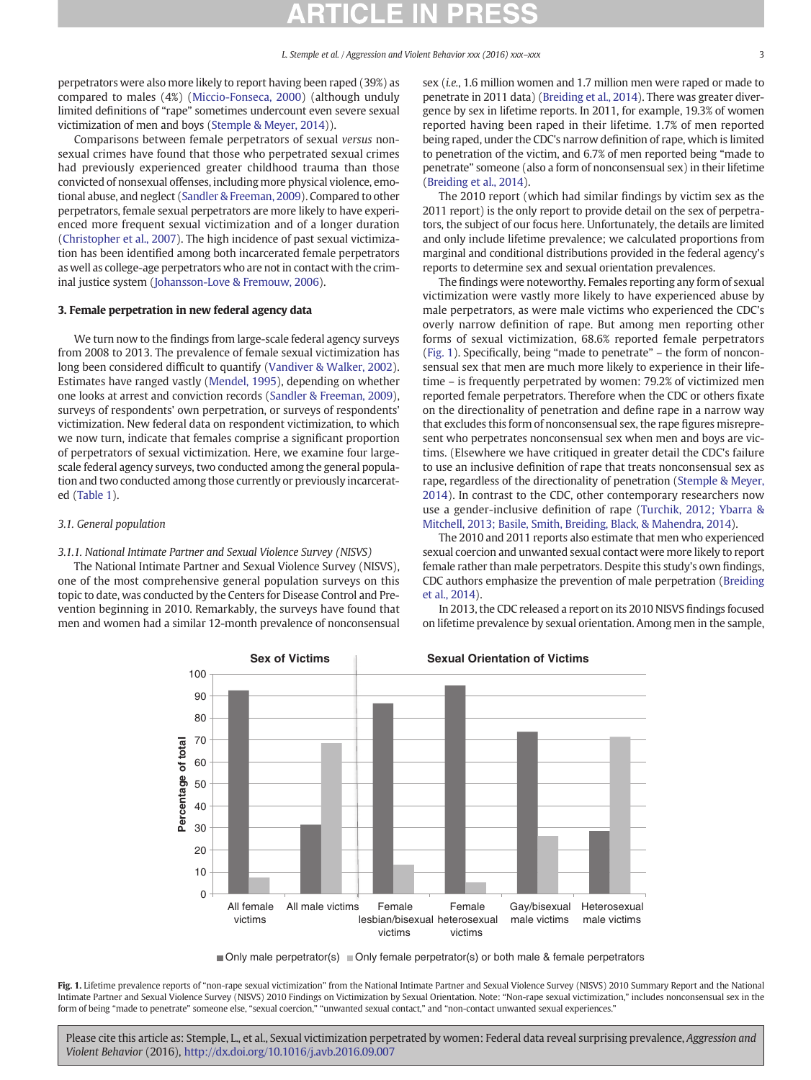<span id="page-3-0"></span>perpetrators were also more likely to report having been raped (39%) as compared to males (4%) [\(Miccio-Fonseca, 2000](#page-9-0)) (although unduly limited definitions of "rape" sometimes undercount even severe sexual victimization of men and boys ([Stemple & Meyer, 2014](#page-9-0))).

Comparisons between female perpetrators of sexual versus nonsexual crimes have found that those who perpetrated sexual crimes had previously experienced greater childhood trauma than those convicted of nonsexual offenses, including more physical violence, emotional abuse, and neglect ([Sandler & Freeman, 2009\)](#page-9-0). Compared to other perpetrators, female sexual perpetrators are more likely to have experienced more frequent sexual victimization and of a longer duration [\(Christopher et al., 2007](#page-8-0)). The high incidence of past sexual victimization has been identified among both incarcerated female perpetrators as well as college-age perpetrators who are not in contact with the criminal justice system [\(Johansson-Love & Fremouw, 2006](#page-9-0)).

### 3. Female perpetration in new federal agency data

We turn now to the findings from large-scale federal agency surveys from 2008 to 2013. The prevalence of female sexual victimization has long been considered difficult to quantify [\(Vandiver & Walker, 2002](#page-9-0)). Estimates have ranged vastly ([Mendel, 1995](#page-9-0)), depending on whether one looks at arrest and conviction records [\(Sandler & Freeman, 2009](#page-9-0)), surveys of respondents' own perpetration, or surveys of respondents' victimization. New federal data on respondent victimization, to which we now turn, indicate that females comprise a significant proportion of perpetrators of sexual victimization. Here, we examine four largescale federal agency surveys, two conducted among the general population and two conducted among those currently or previously incarcerated ([Table 1](#page-2-0)).

#### 3.1. General population

### 3.1.1. National Intimate Partner and Sexual Violence Survey (NISVS)

The National Intimate Partner and Sexual Violence Survey (NISVS), one of the most comprehensive general population surveys on this topic to date, was conducted by the Centers for Disease Control and Prevention beginning in 2010. Remarkably, the surveys have found that men and women had a similar 12-month prevalence of nonconsensual

sex (i.e., 1.6 million women and 1.7 million men were raped or made to penetrate in 2011 data) ([Breiding et al., 2014](#page-9-0)). There was greater divergence by sex in lifetime reports. In 2011, for example, 19.3% of women reported having been raped in their lifetime. 1.7% of men reported being raped, under the CDC's narrow definition of rape, which is limited to penetration of the victim, and 6.7% of men reported being "made to penetrate" someone (also a form of nonconsensual sex) in their lifetime [\(Breiding et al., 2014](#page-9-0)).

The 2010 report (which had similar findings by victim sex as the 2011 report) is the only report to provide detail on the sex of perpetrators, the subject of our focus here. Unfortunately, the details are limited and only include lifetime prevalence; we calculated proportions from marginal and conditional distributions provided in the federal agency's reports to determine sex and sexual orientation prevalences.

The findings were noteworthy. Females reporting any form of sexual victimization were vastly more likely to have experienced abuse by male perpetrators, as were male victims who experienced the CDC's overly narrow definition of rape. But among men reporting other forms of sexual victimization, 68.6% reported female perpetrators (Fig. 1). Specifically, being "made to penetrate" – the form of nonconsensual sex that men are much more likely to experience in their lifetime – is frequently perpetrated by women: 79.2% of victimized men reported female perpetrators. Therefore when the CDC or others fixate on the directionality of penetration and define rape in a narrow way that excludes this form of nonconsensual sex, the rape figures misrepresent who perpetrates nonconsensual sex when men and boys are victims. (Elsewhere we have critiqued in greater detail the CDC's failure to use an inclusive definition of rape that treats nonconsensual sex as rape, regardless of the directionality of penetration [\(Stemple & Meyer,](#page-9-0) [2014\)](#page-9-0). In contrast to the CDC, other contemporary researchers now use a gender-inclusive definition of rape ([Turchik, 2012; Ybarra &](#page-9-0) [Mitchell, 2013; Basile, Smith, Breiding, Black, & Mahendra, 2014\)](#page-9-0).

The 2010 and 2011 reports also estimate that men who experienced sexual coercion and unwanted sexual contact were more likely to report female rather than male perpetrators. Despite this study's own findings, CDC authors emphasize the prevention of male perpetration [\(Breiding](#page-9-0) [et al., 2014](#page-9-0)).

In 2013, the CDC released a report on its 2010 NISVS findings focused on lifetime prevalence by sexual orientation. Among men in the sample,



 $\blacksquare$  Only male perpetrator(s)  $\blacksquare$  Only female perpetrator(s) or both male & female perpetrators

Fig. 1. Lifetime prevalence reports of "non-rape sexual victimization" from the National Intimate Partner and Sexual Violence Survey (NISVS) 2010 Summary Report and the National Intimate Partner and Sexual Violence Survey (NISVS) 2010 Findings on Victimization by Sexual Orientation. Note: "Non-rape sexual victimization," includes nonconsensual sex in the form of being "made to penetrate" someone else, "sexual coercion," "unwanted sexual contact," and "non-contact unwanted sexual experiences."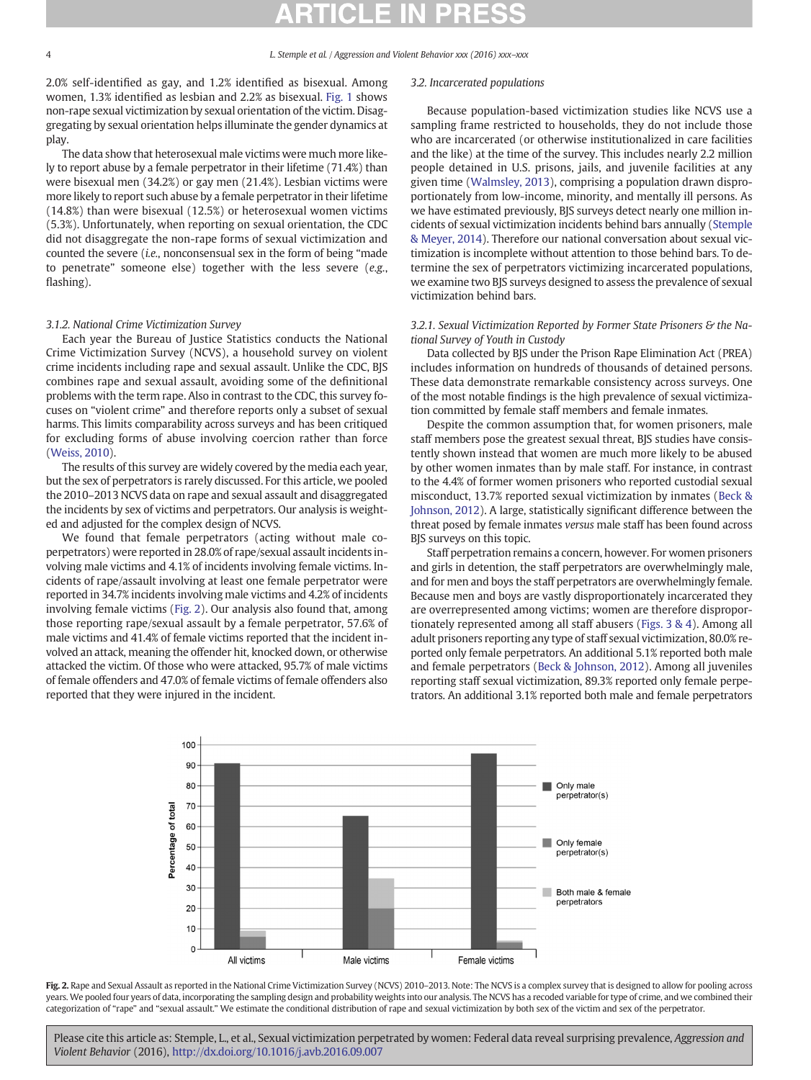2.0% self-identified as gay, and 1.2% identified as bisexual. Among women, 1.3% identified as lesbian and 2.2% as bisexual. [Fig. 1](#page-3-0) shows non-rape sexual victimization by sexual orientation of the victim. Disaggregating by sexual orientation helps illuminate the gender dynamics at play.

The data show that heterosexual male victims were much more likely to report abuse by a female perpetrator in their lifetime (71.4%) than were bisexual men (34.2%) or gay men (21.4%). Lesbian victims were more likely to report such abuse by a female perpetrator in their lifetime (14.8%) than were bisexual (12.5%) or heterosexual women victims (5.3%). Unfortunately, when reporting on sexual orientation, the CDC did not disaggregate the non-rape forms of sexual victimization and counted the severe (i.e., nonconsensual sex in the form of being "made to penetrate" someone else) together with the less severe (e.g., flashing).

### 3.1.2. National Crime Victimization Survey

Each year the Bureau of Justice Statistics conducts the National Crime Victimization Survey (NCVS), a household survey on violent crime incidents including rape and sexual assault. Unlike the CDC, BJS combines rape and sexual assault, avoiding some of the definitional problems with the term rape. Also in contrast to the CDC, this survey focuses on "violent crime" and therefore reports only a subset of sexual harms. This limits comparability across surveys and has been critiqued for excluding forms of abuse involving coercion rather than force [\(Weiss, 2010](#page-9-0)).

The results of this survey are widely covered by the media each year, but the sex of perpetrators is rarely discussed. For this article, we pooled the 2010–2013 NCVS data on rape and sexual assault and disaggregated the incidents by sex of victims and perpetrators. Our analysis is weighted and adjusted for the complex design of NCVS.

We found that female perpetrators (acting without male coperpetrators) were reported in 28.0% of rape/sexual assault incidents involving male victims and 4.1% of incidents involving female victims. Incidents of rape/assault involving at least one female perpetrator were reported in 34.7% incidents involving male victims and 4.2% of incidents involving female victims (Fig. 2). Our analysis also found that, among those reporting rape/sexual assault by a female perpetrator, 57.6% of male victims and 41.4% of female victims reported that the incident involved an attack, meaning the offender hit, knocked down, or otherwise attacked the victim. Of those who were attacked, 95.7% of male victims of female offenders and 47.0% of female victims of female offenders also reported that they were injured in the incident.

#### 3.2. Incarcerated populations

Because population-based victimization studies like NCVS use a sampling frame restricted to households, they do not include those who are incarcerated (or otherwise institutionalized in care facilities and the like) at the time of the survey. This includes nearly 2.2 million people detained in U.S. prisons, jails, and juvenile facilities at any given time ([Walmsley, 2013\)](#page-9-0), comprising a population drawn disproportionately from low-income, minority, and mentally ill persons. As we have estimated previously, BJS surveys detect nearly one million incidents of sexual victimization incidents behind bars annually ([Stemple](#page-9-0) [& Meyer, 2014](#page-9-0)). Therefore our national conversation about sexual victimization is incomplete without attention to those behind bars. To determine the sex of perpetrators victimizing incarcerated populations, we examine two BJS surveys designed to assess the prevalence of sexual victimization behind bars.

### 3.2.1. Sexual Victimization Reported by Former State Prisoners & the National Survey of Youth in Custody

Data collected by BJS under the Prison Rape Elimination Act (PREA) includes information on hundreds of thousands of detained persons. These data demonstrate remarkable consistency across surveys. One of the most notable findings is the high prevalence of sexual victimization committed by female staff members and female inmates.

Despite the common assumption that, for women prisoners, male staff members pose the greatest sexual threat, BJS studies have consistently shown instead that women are much more likely to be abused by other women inmates than by male staff. For instance, in contrast to the 4.4% of former women prisoners who reported custodial sexual misconduct, 13.7% reported sexual victimization by inmates ([Beck &](#page-8-0) [Johnson, 2012](#page-8-0)). A large, statistically significant difference between the threat posed by female inmates versus male staff has been found across BJS surveys on this topic.

Staff perpetration remains a concern, however. For women prisoners and girls in detention, the staff perpetrators are overwhelmingly male, and for men and boys the staff perpetrators are overwhelmingly female. Because men and boys are vastly disproportionately incarcerated they are overrepresented among victims; women are therefore disproportionately represented among all staff abusers [\(Figs. 3 & 4](#page-7-0)). Among all adult prisoners reporting any type of staff sexual victimization, 80.0% reported only female perpetrators. An additional 5.1% reported both male and female perpetrators [\(Beck & Johnson, 2012](#page-8-0)). Among all juveniles reporting staff sexual victimization, 89.3% reported only female perpetrators. An additional 3.1% reported both male and female perpetrators



Fig. 2. Rape and Sexual Assault as reported in the National Crime Victimization Survey (NCVS) 2010-2013. Note: The NCVS is a complex survey that is designed to allow for pooling across years. We pooled four years of data, incorporating the sampling design and probability weights into our analysis. The NCVS has a recoded variable for type of crime, and we combined their categorization of "rape" and "sexual assault." We estimate the conditional distribution of rape and sexual victimization by both sex of the victim and sex of the perpetrator.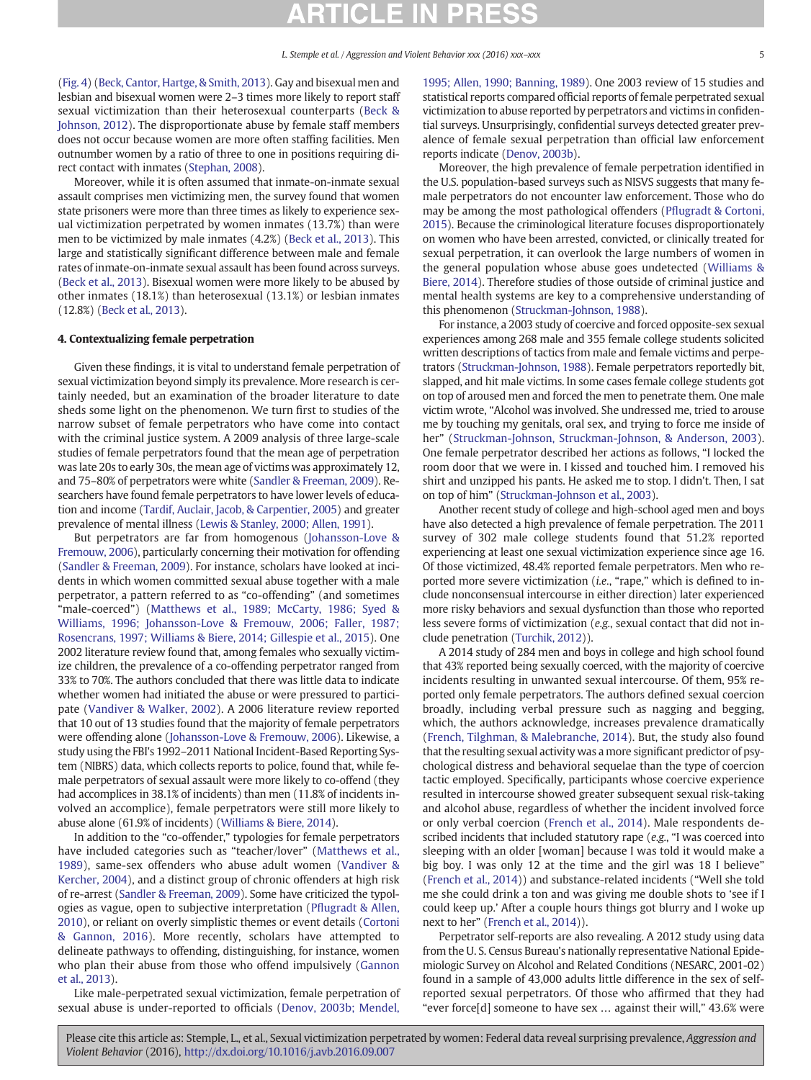[\(Fig. 4](#page-7-0)) [\(Beck, Cantor, Hartge, & Smith, 2013](#page-8-0)). Gay and bisexual men and lesbian and bisexual women were 2–3 times more likely to report staff sexual victimization than their heterosexual counterparts [\(Beck &](#page-8-0) [Johnson, 2012](#page-8-0)). The disproportionate abuse by female staff members does not occur because women are more often staffing facilities. Men outnumber women by a ratio of three to one in positions requiring direct contact with inmates ([Stephan, 2008](#page-9-0)).

Moreover, while it is often assumed that inmate-on-inmate sexual assault comprises men victimizing men, the survey found that women state prisoners were more than three times as likely to experience sexual victimization perpetrated by women inmates (13.7%) than were men to be victimized by male inmates (4.2%) [\(Beck et al., 2013](#page-8-0)). This large and statistically significant difference between male and female rates of inmate-on-inmate sexual assault has been found across surveys. [\(Beck et al., 2013](#page-8-0)). Bisexual women were more likely to be abused by other inmates (18.1%) than heterosexual (13.1%) or lesbian inmates (12.8%) ([Beck et al., 2013](#page-8-0)).

### 4. Contextualizing female perpetration

Given these findings, it is vital to understand female perpetration of sexual victimization beyond simply its prevalence. More research is certainly needed, but an examination of the broader literature to date sheds some light on the phenomenon. We turn first to studies of the narrow subset of female perpetrators who have come into contact with the criminal justice system. A 2009 analysis of three large-scale studies of female perpetrators found that the mean age of perpetration was late 20s to early 30s, the mean age of victims was approximately 12, and 75–80% of perpetrators were white ([Sandler & Freeman, 2009\)](#page-9-0). Researchers have found female perpetrators to have lower levels of education and income ([Tardif, Auclair, Jacob, & Carpentier, 2005](#page-9-0)) and greater prevalence of mental illness [\(Lewis & Stanley, 2000; Allen, 1991](#page-9-0)).

But perpetrators are far from homogenous ([Johansson-Love &](#page-9-0) [Fremouw, 2006\)](#page-9-0), particularly concerning their motivation for offending [\(Sandler & Freeman, 2009](#page-9-0)). For instance, scholars have looked at incidents in which women committed sexual abuse together with a male perpetrator, a pattern referred to as "co-offending" (and sometimes "male-coerced") ([Matthews et al., 1989; McCarty, 1986; Syed &](#page-9-0) [Williams, 1996; Johansson-Love & Fremouw, 2006; Faller, 1987;](#page-9-0) [Rosencrans, 1997; Williams & Biere, 2014; Gillespie et al., 2015\)](#page-9-0). One 2002 literature review found that, among females who sexually victimize children, the prevalence of a co-offending perpetrator ranged from 33% to 70%. The authors concluded that there was little data to indicate whether women had initiated the abuse or were pressured to participate ([Vandiver & Walker, 2002\)](#page-9-0). A 2006 literature review reported that 10 out of 13 studies found that the majority of female perpetrators were offending alone ([Johansson-Love & Fremouw, 2006](#page-9-0)). Likewise, a study using the FBI's 1992–2011 National Incident-Based Reporting System (NIBRS) data, which collects reports to police, found that, while female perpetrators of sexual assault were more likely to co-offend (they had accomplices in 38.1% of incidents) than men (11.8% of incidents involved an accomplice), female perpetrators were still more likely to abuse alone (61.9% of incidents) [\(Williams & Biere, 2014](#page-8-0)).

In addition to the "co-offender," typologies for female perpetrators have included categories such as "teacher/lover" ([Matthews et al.,](#page-9-0) [1989\)](#page-9-0), same-sex offenders who abuse adult women ([Vandiver &](#page-9-0) [Kercher, 2004](#page-9-0)), and a distinct group of chronic offenders at high risk of re-arrest ([Sandler & Freeman, 2009](#page-9-0)). Some have criticized the typologies as vague, open to subjective interpretation (Pfl[ugradt & Allen,](#page-9-0) [2010\)](#page-9-0), or reliant on overly simplistic themes or event details ([Cortoni](#page-8-0) [& Gannon, 2016\)](#page-8-0). More recently, scholars have attempted to delineate pathways to offending, distinguishing, for instance, women who plan their abuse from those who offend impulsively ([Gannon](#page-9-0) [et al., 2013](#page-9-0)).

Like male-perpetrated sexual victimization, female perpetration of sexual abuse is under-reported to officials ([Denov, 2003b; Mendel,](#page-8-0)

[1995; Allen, 1990; Banning, 1989\)](#page-8-0). One 2003 review of 15 studies and statistical reports compared official reports of female perpetrated sexual victimization to abuse reported by perpetrators and victims in confidential surveys. Unsurprisingly, confidential surveys detected greater prevalence of female sexual perpetration than official law enforcement reports indicate [\(Denov, 2003b\)](#page-8-0).

Moreover, the high prevalence of female perpetration identified in the U.S. population-based surveys such as NISVS suggests that many female perpetrators do not encounter law enforcement. Those who do may be among the most pathological offenders (Pfl[ugradt & Cortoni,](#page-9-0) [2015](#page-9-0)). Because the criminological literature focuses disproportionately on women who have been arrested, convicted, or clinically treated for sexual perpetration, it can overlook the large numbers of women in the general population whose abuse goes undetected ([Williams &](#page-8-0) [Biere, 2014\)](#page-8-0). Therefore studies of those outside of criminal justice and mental health systems are key to a comprehensive understanding of this phenomenon ([Struckman-Johnson, 1988](#page-9-0)).

For instance, a 2003 study of coercive and forced opposite-sex sexual experiences among 268 male and 355 female college students solicited written descriptions of tactics from male and female victims and perpetrators [\(Struckman-Johnson, 1988\)](#page-9-0). Female perpetrators reportedly bit, slapped, and hit male victims. In some cases female college students got on top of aroused men and forced the men to penetrate them. One male victim wrote, "Alcohol was involved. She undressed me, tried to arouse me by touching my genitals, oral sex, and trying to force me inside of her" [\(Struckman-Johnson, Struckman-Johnson, & Anderson, 2003](#page-9-0)). One female perpetrator described her actions as follows, "I locked the room door that we were in. I kissed and touched him. I removed his shirt and unzipped his pants. He asked me to stop. I didn't. Then, I sat on top of him" ([Struckman-Johnson et al., 2003](#page-9-0)).

Another recent study of college and high-school aged men and boys have also detected a high prevalence of female perpetration. The 2011 survey of 302 male college students found that 51.2% reported experiencing at least one sexual victimization experience since age 16. Of those victimized, 48.4% reported female perpetrators. Men who reported more severe victimization (i.e., "rape," which is defined to include nonconsensual intercourse in either direction) later experienced more risky behaviors and sexual dysfunction than those who reported less severe forms of victimization (e.g., sexual contact that did not include penetration ([Turchik, 2012](#page-9-0))).

A 2014 study of 284 men and boys in college and high school found that 43% reported being sexually coerced, with the majority of coercive incidents resulting in unwanted sexual intercourse. Of them, 95% reported only female perpetrators. The authors defined sexual coercion broadly, including verbal pressure such as nagging and begging, which, the authors acknowledge, increases prevalence dramatically [\(French, Tilghman, & Malebranche, 2014](#page-9-0)). But, the study also found that the resulting sexual activity was a more significant predictor of psychological distress and behavioral sequelae than the type of coercion tactic employed. Specifically, participants whose coercive experience resulted in intercourse showed greater subsequent sexual risk-taking and alcohol abuse, regardless of whether the incident involved force or only verbal coercion [\(French et al., 2014](#page-9-0)). Male respondents described incidents that included statutory rape (e.g., "I was coerced into sleeping with an older [woman] because I was told it would make a big boy. I was only 12 at the time and the girl was 18 I believe" [\(French et al., 2014](#page-9-0))) and substance-related incidents ("Well she told me she could drink a ton and was giving me double shots to 'see if I could keep up.' After a couple hours things got blurry and I woke up next to her" ([French et al., 2014](#page-9-0))).

Perpetrator self-reports are also revealing. A 2012 study using data from the U. S. Census Bureau's nationally representative National Epidemiologic Survey on Alcohol and Related Conditions (NESARC, 2001-02) found in a sample of 43,000 adults little difference in the sex of selfreported sexual perpetrators. Of those who affirmed that they had "ever force[d] someone to have sex … against their will," 43.6% were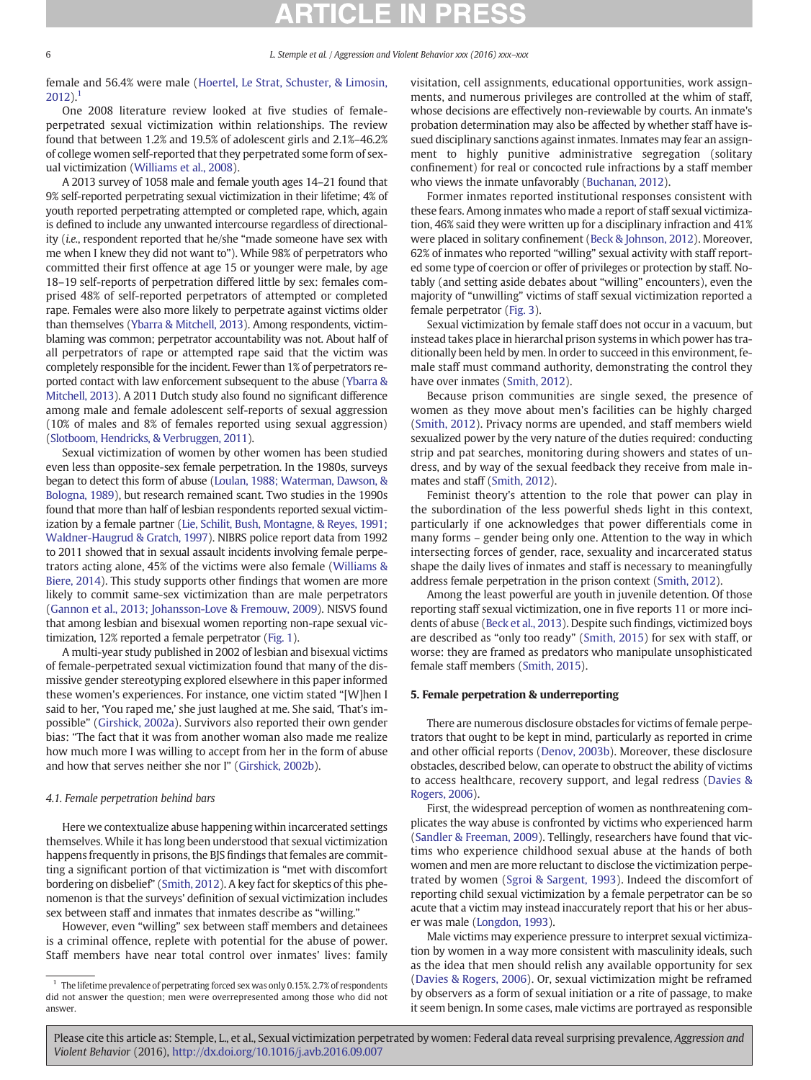female and 56.4% were male ([Hoertel, Le Strat, Schuster, & Limosin,](#page-9-0)  $2012$ ).<sup>1</sup>

One 2008 literature review looked at five studies of femaleperpetrated sexual victimization within relationships. The review found that between 1.2% and 19.5% of adolescent girls and 2.1%–46.2% of college women self-reported that they perpetrated some form of sexual victimization ([Williams et al., 2008\)](#page-9-0).

A 2013 survey of 1058 male and female youth ages 14–21 found that 9% self-reported perpetrating sexual victimization in their lifetime; 4% of youth reported perpetrating attempted or completed rape, which, again is defined to include any unwanted intercourse regardless of directionality (i.e., respondent reported that he/she "made someone have sex with me when I knew they did not want to"). While 98% of perpetrators who committed their first offence at age 15 or younger were male, by age 18–19 self-reports of perpetration differed little by sex: females comprised 48% of self-reported perpetrators of attempted or completed rape. Females were also more likely to perpetrate against victims older than themselves [\(Ybarra & Mitchell, 2013\)](#page-9-0). Among respondents, victimblaming was common; perpetrator accountability was not. About half of all perpetrators of rape or attempted rape said that the victim was completely responsible for the incident. Fewer than 1% of perpetrators reported contact with law enforcement subsequent to the abuse [\(Ybarra &](#page-9-0) [Mitchell, 2013\)](#page-9-0). A 2011 Dutch study also found no significant difference among male and female adolescent self-reports of sexual aggression (10% of males and 8% of females reported using sexual aggression) [\(Slotboom, Hendricks, & Verbruggen, 2011\)](#page-9-0).

Sexual victimization of women by other women has been studied even less than opposite-sex female perpetration. In the 1980s, surveys began to detect this form of abuse [\(Loulan, 1988; Waterman, Dawson, &](#page-9-0) [Bologna, 1989\)](#page-9-0), but research remained scant. Two studies in the 1990s found that more than half of lesbian respondents reported sexual victimization by a female partner ([Lie, Schilit, Bush, Montagne, & Reyes, 1991;](#page-9-0) [Waldner-Haugrud & Gratch, 1997\)](#page-9-0). NIBRS police report data from 1992 to 2011 showed that in sexual assault incidents involving female perpetrators acting alone, 45% of the victims were also female ([Williams &](#page-8-0) [Biere, 2014\)](#page-8-0). This study supports other findings that women are more likely to commit same-sex victimization than are male perpetrators [\(Gannon et al., 2013; Johansson-Love & Fremouw, 2009\)](#page-9-0). NISVS found that among lesbian and bisexual women reporting non-rape sexual victimization, 12% reported a female perpetrator [\(Fig. 1](#page-3-0)).

A multi-year study published in 2002 of lesbian and bisexual victims of female-perpetrated sexual victimization found that many of the dismissive gender stereotyping explored elsewhere in this paper informed these women's experiences. For instance, one victim stated "[W]hen I said to her, 'You raped me,' she just laughed at me. She said, 'That's impossible" [\(Girshick, 2002a](#page-9-0)). Survivors also reported their own gender bias: "The fact that it was from another woman also made me realize how much more I was willing to accept from her in the form of abuse and how that serves neither she nor I" [\(Girshick, 2002b\)](#page-9-0).

#### 4.1. Female perpetration behind bars

Here we contextualize abuse happening within incarcerated settings themselves. While it has long been understood that sexual victimization happens frequently in prisons, the BJS findings that females are committing a significant portion of that victimization is "met with discomfort bordering on disbelief" [\(Smith, 2012](#page-9-0)). A key fact for skeptics of this phenomenon is that the surveys' definition of sexual victimization includes sex between staff and inmates that inmates describe as "willing."

However, even "willing" sex between staff members and detainees is a criminal offence, replete with potential for the abuse of power. Staff members have near total control over inmates' lives: family visitation, cell assignments, educational opportunities, work assignments, and numerous privileges are controlled at the whim of staff, whose decisions are effectively non-reviewable by courts. An inmate's probation determination may also be affected by whether staff have issued disciplinary sanctions against inmates. Inmates may fear an assignment to highly punitive administrative segregation (solitary confinement) for real or concocted rule infractions by a staff member who views the inmate unfavorably [\(Buchanan, 2012\)](#page-8-0).

Former inmates reported institutional responses consistent with these fears. Among inmates who made a report of staff sexual victimization, 46% said they were written up for a disciplinary infraction and 41% were placed in solitary confinement ([Beck & Johnson, 2012](#page-8-0)). Moreover, 62% of inmates who reported "willing" sexual activity with staff reported some type of coercion or offer of privileges or protection by staff. Notably (and setting aside debates about "willing" encounters), even the majority of "unwilling" victims of staff sexual victimization reported a female perpetrator [\(Fig. 3\)](#page-7-0).

Sexual victimization by female staff does not occur in a vacuum, but instead takes place in hierarchal prison systems in which power has traditionally been held by men. In order to succeed in this environment, female staff must command authority, demonstrating the control they have over inmates ([Smith, 2012](#page-9-0)).

Because prison communities are single sexed, the presence of women as they move about men's facilities can be highly charged [\(Smith, 2012](#page-9-0)). Privacy norms are upended, and staff members wield sexualized power by the very nature of the duties required: conducting strip and pat searches, monitoring during showers and states of undress, and by way of the sexual feedback they receive from male inmates and staff [\(Smith, 2012\)](#page-9-0).

Feminist theory's attention to the role that power can play in the subordination of the less powerful sheds light in this context, particularly if one acknowledges that power differentials come in many forms – gender being only one. Attention to the way in which intersecting forces of gender, race, sexuality and incarcerated status shape the daily lives of inmates and staff is necessary to meaningfully address female perpetration in the prison context [\(Smith, 2012\)](#page-9-0).

Among the least powerful are youth in juvenile detention. Of those reporting staff sexual victimization, one in five reports 11 or more incidents of abuse [\(Beck et al., 2013\)](#page-8-0). Despite such findings, victimized boys are described as "only too ready" ([Smith, 2015](#page-9-0)) for sex with staff, or worse: they are framed as predators who manipulate unsophisticated female staff members [\(Smith, 2015\)](#page-9-0).

#### 5. Female perpetration & underreporting

There are numerous disclosure obstacles for victims of female perpetrators that ought to be kept in mind, particularly as reported in crime and other official reports ([Denov, 2003b\)](#page-8-0). Moreover, these disclosure obstacles, described below, can operate to obstruct the ability of victims to access healthcare, recovery support, and legal redress [\(Davies &](#page-8-0) [Rogers, 2006](#page-8-0)).

First, the widespread perception of women as nonthreatening complicates the way abuse is confronted by victims who experienced harm [\(Sandler & Freeman, 2009](#page-9-0)). Tellingly, researchers have found that victims who experience childhood sexual abuse at the hands of both women and men are more reluctant to disclose the victimization perpetrated by women [\(Sgroi & Sargent, 1993\)](#page-9-0). Indeed the discomfort of reporting child sexual victimization by a female perpetrator can be so acute that a victim may instead inaccurately report that his or her abuser was male [\(Longdon, 1993\)](#page-9-0).

Male victims may experience pressure to interpret sexual victimization by women in a way more consistent with masculinity ideals, such as the idea that men should relish any available opportunity for sex [\(Davies & Rogers, 2006\)](#page-8-0). Or, sexual victimization might be reframed by observers as a form of sexual initiation or a rite of passage, to make it seem benign. In some cases, male victims are portrayed as responsible

 $1$  The lifetime prevalence of perpetrating forced sex was only 0.15%. 2.7% of respondents did not answer the question; men were overrepresented among those who did not answer.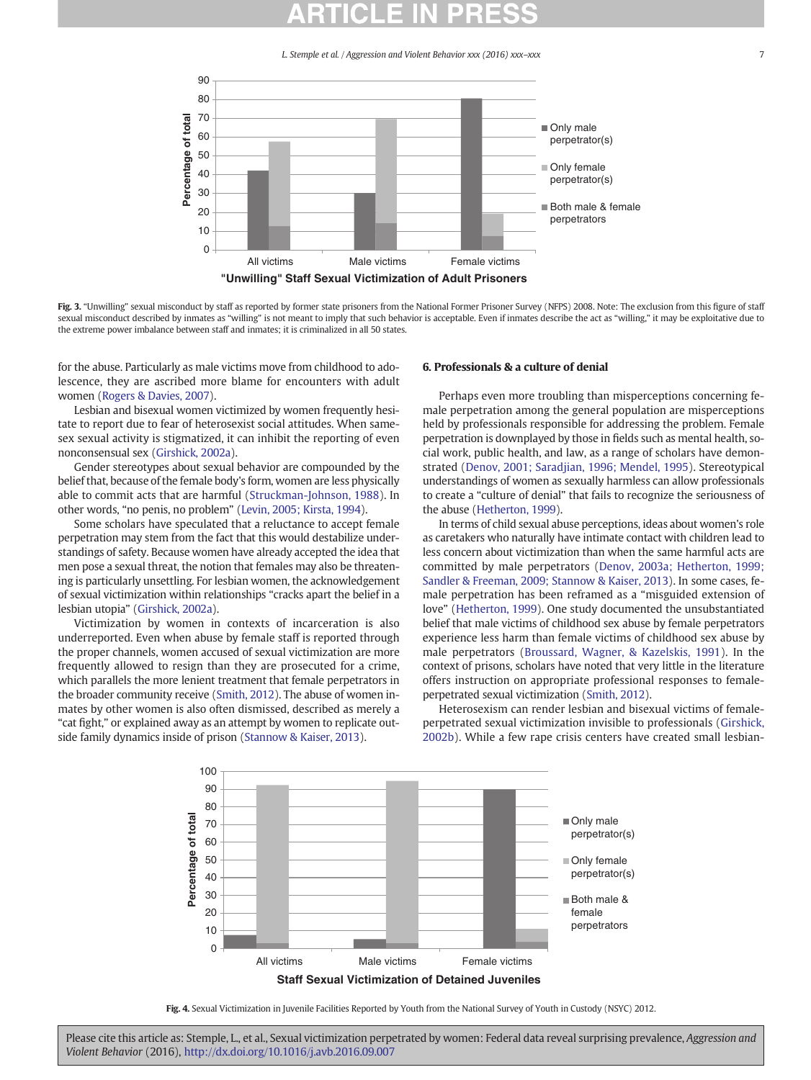<span id="page-7-0"></span>

Fig. 3. "Unwilling" sexual misconduct by staff as reported by former state prisoners from the National Former Prisoner Survey (NFPS) 2008. Note: The exclusion from this figure of staff sexual misconduct described by inmates as "willing" is not meant to imply that such behavior is acceptable. Even if inmates describe the act as "willing," it may be exploitative due to the extreme power imbalance between staff and inmates; it is criminalized in all 50 states.

for the abuse. Particularly as male victims move from childhood to adolescence, they are ascribed more blame for encounters with adult women [\(Rogers & Davies, 2007\)](#page-9-0).

Lesbian and bisexual women victimized by women frequently hesitate to report due to fear of heterosexist social attitudes. When samesex sexual activity is stigmatized, it can inhibit the reporting of even nonconsensual sex ([Girshick, 2002a](#page-9-0)).

Gender stereotypes about sexual behavior are compounded by the belief that, because of the female body's form, women are less physically able to commit acts that are harmful [\(Struckman-Johnson, 1988\)](#page-9-0). In other words, "no penis, no problem" [\(Levin, 2005; Kirsta, 1994\)](#page-9-0).

Some scholars have speculated that a reluctance to accept female perpetration may stem from the fact that this would destabilize understandings of safety. Because women have already accepted the idea that men pose a sexual threat, the notion that females may also be threatening is particularly unsettling. For lesbian women, the acknowledgement of sexual victimization within relationships "cracks apart the belief in a lesbian utopia" [\(Girshick, 2002a\)](#page-9-0).

Victimization by women in contexts of incarceration is also underreported. Even when abuse by female staff is reported through the proper channels, women accused of sexual victimization are more frequently allowed to resign than they are prosecuted for a crime, which parallels the more lenient treatment that female perpetrators in the broader community receive [\(Smith, 2012](#page-9-0)). The abuse of women inmates by other women is also often dismissed, described as merely a "cat fight," or explained away as an attempt by women to replicate outside family dynamics inside of prison ([Stannow & Kaiser, 2013](#page-9-0)).

### 6. Professionals & a culture of denial

Perhaps even more troubling than misperceptions concerning female perpetration among the general population are misperceptions held by professionals responsible for addressing the problem. Female perpetration is downplayed by those in fields such as mental health, social work, public health, and law, as a range of scholars have demonstrated [\(Denov, 2001; Saradjian, 1996; Mendel, 1995\)](#page-8-0). Stereotypical understandings of women as sexually harmless can allow professionals to create a "culture of denial" that fails to recognize the seriousness of the abuse [\(Hetherton, 1999](#page-9-0)).

In terms of child sexual abuse perceptions, ideas about women's role as caretakers who naturally have intimate contact with children lead to less concern about victimization than when the same harmful acts are committed by male perpetrators [\(Denov, 2003a; Hetherton, 1999;](#page-8-0) [Sandler & Freeman, 2009; Stannow & Kaiser, 2013](#page-8-0)). In some cases, female perpetration has been reframed as a "misguided extension of love" ([Hetherton, 1999](#page-9-0)). One study documented the unsubstantiated belief that male victims of childhood sex abuse by female perpetrators experience less harm than female victims of childhood sex abuse by male perpetrators [\(Broussard, Wagner, & Kazelskis, 1991](#page-8-0)). In the context of prisons, scholars have noted that very little in the literature offers instruction on appropriate professional responses to femaleperpetrated sexual victimization [\(Smith, 2012\)](#page-9-0).

Heterosexism can render lesbian and bisexual victims of femaleperpetrated sexual victimization invisible to professionals ([Girshick,](#page-9-0) [2002b\)](#page-9-0). While a few rape crisis centers have created small lesbian-



Fig. 4. Sexual Victimization in Juvenile Facilities Reported by Youth from the National Survey of Youth in Custody (NSYC) 2012.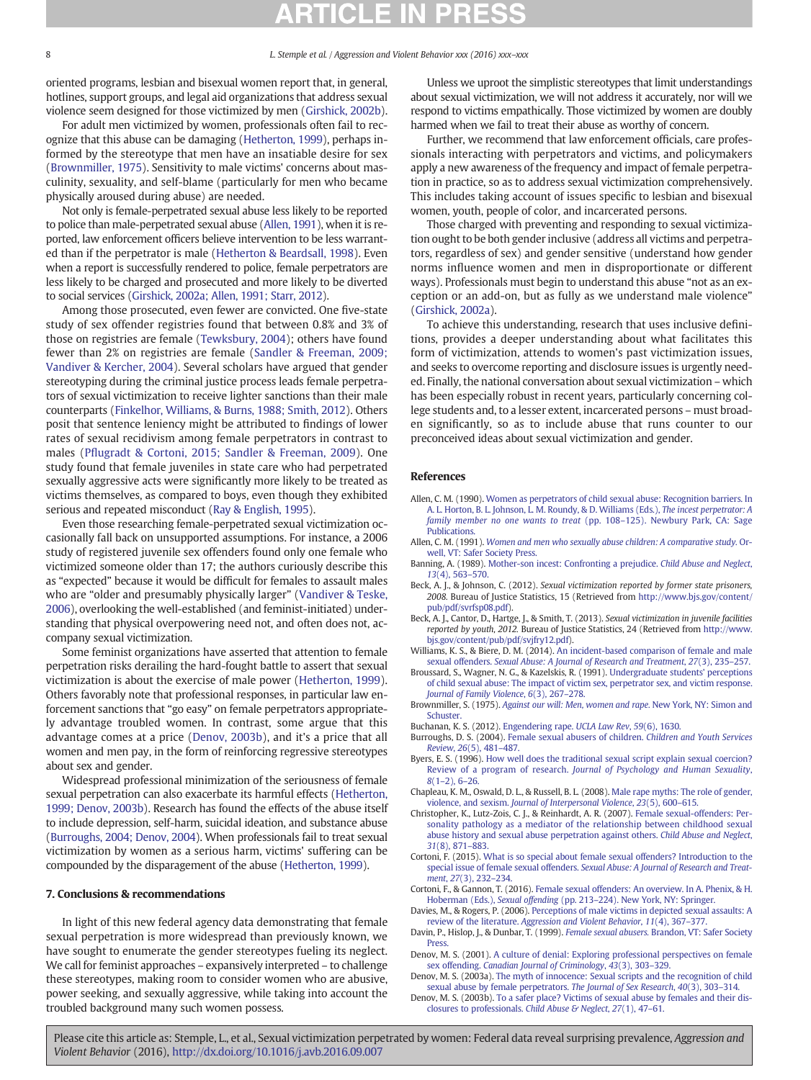<span id="page-8-0"></span>oriented programs, lesbian and bisexual women report that, in general, hotlines, support groups, and legal aid organizations that address sexual violence seem designed for those victimized by men ([Girshick, 2002b\)](#page-9-0).

For adult men victimized by women, professionals often fail to recognize that this abuse can be damaging ([Hetherton, 1999\)](#page-9-0), perhaps informed by the stereotype that men have an insatiable desire for sex (Brownmiller, 1975). Sensitivity to male victims' concerns about masculinity, sexuality, and self-blame (particularly for men who became physically aroused during abuse) are needed.

Not only is female-perpetrated sexual abuse less likely to be reported to police than male-perpetrated sexual abuse (Allen, 1991), when it is reported, law enforcement officers believe intervention to be less warranted than if the perpetrator is male ([Hetherton & Beardsall, 1998\)](#page-9-0). Even when a report is successfully rendered to police, female perpetrators are less likely to be charged and prosecuted and more likely to be diverted to social services [\(Girshick, 2002a; Allen, 1991; Starr, 2012\)](#page-9-0).

Among those prosecuted, even fewer are convicted. One five-state study of sex offender registries found that between 0.8% and 3% of those on registries are female ([Tewksbury, 2004\)](#page-9-0); others have found fewer than 2% on registries are female ([Sandler & Freeman, 2009;](#page-9-0) [Vandiver & Kercher, 2004](#page-9-0)). Several scholars have argued that gender stereotyping during the criminal justice process leads female perpetrators of sexual victimization to receive lighter sanctions than their male counterparts [\(Finkelhor, Williams, & Burns, 1988; Smith, 2012\)](#page-9-0). Others posit that sentence leniency might be attributed to findings of lower rates of sexual recidivism among female perpetrators in contrast to males (Pfl[ugradt & Cortoni, 2015; Sandler & Freeman, 2009](#page-9-0)). One study found that female juveniles in state care who had perpetrated sexually aggressive acts were significantly more likely to be treated as victims themselves, as compared to boys, even though they exhibited serious and repeated misconduct ([Ray & English, 1995\)](#page-9-0).

Even those researching female-perpetrated sexual victimization occasionally fall back on unsupported assumptions. For instance, a 2006 study of registered juvenile sex offenders found only one female who victimized someone older than 17; the authors curiously describe this as "expected" because it would be difficult for females to assault males who are "older and presumably physically larger" ([Vandiver & Teske,](#page-9-0) [2006\)](#page-9-0), overlooking the well-established (and feminist-initiated) understanding that physical overpowering need not, and often does not, accompany sexual victimization.

Some feminist organizations have asserted that attention to female perpetration risks derailing the hard-fought battle to assert that sexual victimization is about the exercise of male power ([Hetherton, 1999](#page-9-0)). Others favorably note that professional responses, in particular law enforcement sanctions that "go easy" on female perpetrators appropriately advantage troubled women. In contrast, some argue that this advantage comes at a price (Denov, 2003b), and it's a price that all women and men pay, in the form of reinforcing regressive stereotypes about sex and gender.

Widespread professional minimization of the seriousness of female sexual perpetration can also exacerbate its harmful effects ([Hetherton,](#page-9-0) [1999; Denov, 2003b](#page-9-0)). Research has found the effects of the abuse itself to include depression, self-harm, suicidal ideation, and substance abuse (Burroughs, 2004; Denov, 2004). When professionals fail to treat sexual victimization by women as a serious harm, victims' suffering can be compounded by the disparagement of the abuse [\(Hetherton, 1999](#page-9-0)).

### 7. Conclusions & recommendations

In light of this new federal agency data demonstrating that female sexual perpetration is more widespread than previously known, we have sought to enumerate the gender stereotypes fueling its neglect. We call for feminist approaches – expansively interpreted – to challenge these stereotypes, making room to consider women who are abusive, power seeking, and sexually aggressive, while taking into account the troubled background many such women possess.

Unless we uproot the simplistic stereotypes that limit understandings about sexual victimization, we will not address it accurately, nor will we respond to victims empathically. Those victimized by women are doubly harmed when we fail to treat their abuse as worthy of concern.

Further, we recommend that law enforcement officials, care professionals interacting with perpetrators and victims, and policymakers apply a new awareness of the frequency and impact of female perpetration in practice, so as to address sexual victimization comprehensively. This includes taking account of issues specific to lesbian and bisexual women, youth, people of color, and incarcerated persons.

Those charged with preventing and responding to sexual victimization ought to be both gender inclusive (address all victims and perpetrators, regardless of sex) and gender sensitive (understand how gender norms influence women and men in disproportionate or different ways). Professionals must begin to understand this abuse "not as an exception or an add-on, but as fully as we understand male violence" [\(Girshick, 2002a\)](#page-9-0).

To achieve this understanding, research that uses inclusive definitions, provides a deeper understanding about what facilitates this form of victimization, attends to women's past victimization issues, and seeks to overcome reporting and disclosure issues is urgently needed. Finally, the national conversation about sexual victimization – which has been especially robust in recent years, particularly concerning college students and, to a lesser extent, incarcerated persons – must broaden significantly, so as to include abuse that runs counter to our preconceived ideas about sexual victimization and gender.

### References

- Allen, C. M. (1990). [Women as perpetrators of child sexual abuse: Recognition barriers. In](http://refhub.elsevier.com/S1359-1789(16)30144-6/rf0005) [A. L. Horton, B. L. Johnson, L. M. Roundy, & D. Williams \(Eds.\),](http://refhub.elsevier.com/S1359-1789(16)30144-6/rf0005) The incest perpetrator: A [family member no one wants to treat](http://refhub.elsevier.com/S1359-1789(16)30144-6/rf0005) (pp. 108–125). Newbury Park, CA: Sage **Publications**
- Allen, C. M. (1991). [Women and men who sexually abuse children: A comparative study.](http://refhub.elsevier.com/S1359-1789(16)30144-6/rf0010) Or[well, VT: Safer Society Press.](http://refhub.elsevier.com/S1359-1789(16)30144-6/rf0010)
- Banning, A. (1989). [Mother-son incest: Confronting a prejudice.](http://refhub.elsevier.com/S1359-1789(16)30144-6/rf0015) Child Abuse and Neglect, 13[\(4\), 563](http://refhub.elsevier.com/S1359-1789(16)30144-6/rf0015)–570.
- Beck, A. J., & Johnson, C. (2012). Sexual victimization reported by former state prisoners, 2008. Bureau of Justice Statistics, 15 (Retrieved from [http://www.bjs.gov/content/](http://www.bjs.gov/content/pub/pdf/svrfsp08.pdf) [pub/pdf/svrfsp08.pdf](http://www.bjs.gov/content/pub/pdf/svrfsp08.pdf)).
- Beck, A. J., Cantor, D., Hartge, J., & Smith, T. (2013). Sexual victimization in juvenile facilities reported by youth, 2012. Bureau of Justice Statistics, 24 (Retrieved from [http://www.](http://www.bjs.gov/content/pub/pdf/svjfry12.pdf) [bjs.gov/content/pub/pdf/svjfry12.pdf\)](http://www.bjs.gov/content/pub/pdf/svjfry12.pdf).
- Williams, K. S., & Biere, D. M. (2014). [An incident-based comparison of female and male](http://refhub.elsevier.com/S1359-1789(16)30144-6/rf0030) sexual offenders. [Sexual Abuse: A Journal of Research and Treatment](http://refhub.elsevier.com/S1359-1789(16)30144-6/rf0030), 27(3), 235–257.
- Broussard, S., Wagner, N. G., & Kazelskis, R. (1991). [Undergraduate students' perceptions](http://refhub.elsevier.com/S1359-1789(16)30144-6/rf0035) [of child sexual abuse: The impact of victim sex, perpetrator sex, and victim response.](http://refhub.elsevier.com/S1359-1789(16)30144-6/rf0035) [Journal of Family Violence](http://refhub.elsevier.com/S1359-1789(16)30144-6/rf0035), 6(3), 267-278.
- Brownmiller, S. (1975). [Against our will: Men, women and rape.](http://refhub.elsevier.com/S1359-1789(16)30144-6/rf0040) New York, NY: Simon and **Schuster**
- Buchanan, K. S. (2012). [Engendering rape.](http://refhub.elsevier.com/S1359-1789(16)30144-6/rf0045) UCLA Law Rev, 59(6), 1630.
- Burroughs, D. S. (2004). [Female sexual abusers of children.](http://refhub.elsevier.com/S1359-1789(16)30144-6/rf0050) Children and Youth Services Review, 26[\(5\), 481](http://refhub.elsevier.com/S1359-1789(16)30144-6/rf0050)–487.
- Byers, E. S. (1996). [How well does the traditional sexual script explain sexual coercion?](http://refhub.elsevier.com/S1359-1789(16)30144-6/rf0055) Review of a program of research. [Journal of Psychology and Human Sexuality](http://refhub.elsevier.com/S1359-1789(16)30144-6/rf0055), 8(1–[2\), 6](http://refhub.elsevier.com/S1359-1789(16)30144-6/rf0055)–26.
- Chapleau, K. M., Oswald, D. L., & Russell, B. L. (2008). [Male rape myths: The role of gender,](http://refhub.elsevier.com/S1359-1789(16)30144-6/rf0060) violence, and sexism. [Journal of Interpersonal Violence](http://refhub.elsevier.com/S1359-1789(16)30144-6/rf0060), 23(5), 600–615.
- Christopher, K., Lutz-Zois, C. J., & Reinhardt, A. R. (2007). [Female sexual-offenders: Per](http://refhub.elsevier.com/S1359-1789(16)30144-6/rf0065)[sonality pathology as a mediator of the relationship between childhood sexual](http://refhub.elsevier.com/S1359-1789(16)30144-6/rf0065) [abuse history and sexual abuse perpetration against others.](http://refhub.elsevier.com/S1359-1789(16)30144-6/rf0065) Child Abuse and Neglect, 31[\(8\), 871](http://refhub.elsevier.com/S1359-1789(16)30144-6/rf0065)–883.
- Cortoni, F. (2015). [What is so special about female sexual offenders? Introduction to the](http://refhub.elsevier.com/S1359-1789(16)30144-6/rf0070) special issue of female sexual offenders. [Sexual Abuse: A Journal of Research and Treat](http://refhub.elsevier.com/S1359-1789(16)30144-6/rf0070)ment, 27[\(3\), 232](http://refhub.elsevier.com/S1359-1789(16)30144-6/rf0070)–234.
- Cortoni, F., & Gannon, T. (2016). [Female sexual offenders: An overview. In A. Phenix, & H.](http://refhub.elsevier.com/S1359-1789(16)30144-6/rf0075) Hoberman (Eds.), Sexual offending (pp. 213–[224\). New York, NY: Springer.](http://refhub.elsevier.com/S1359-1789(16)30144-6/rf0075)
- Davies, M., & Rogers, P. (2006). [Perceptions of male victims in depicted sexual assaults: A](http://refhub.elsevier.com/S1359-1789(16)30144-6/rf0080) review of the literature. [Aggression and Violent Behavior](http://refhub.elsevier.com/S1359-1789(16)30144-6/rf0080), 11(4), 367–377.
- Davin, P., Hislop, J., & Dunbar, T. (1999). Female sexual abusers. [Brandon, VT: Safer Society](http://refhub.elsevier.com/S1359-1789(16)30144-6/rf0085) [Press.](http://refhub.elsevier.com/S1359-1789(16)30144-6/rf0085)
- Denov, M. S. (2001). [A culture of denial: Exploring professional perspectives on female](http://refhub.elsevier.com/S1359-1789(16)30144-6/rf0090) sex offending. [Canadian Journal of Criminology](http://refhub.elsevier.com/S1359-1789(16)30144-6/rf0090), 43(3), 303–329.
- Denov, M. S. (2003a). [The myth of innocence: Sexual scripts and the recognition of child](http://refhub.elsevier.com/S1359-1789(16)30144-6/rf0095) [sexual abuse by female perpetrators.](http://refhub.elsevier.com/S1359-1789(16)30144-6/rf0095) The Journal of Sex Research, 40(3), 303–314.
- Denov, M. S. (2003b). [To a safer place? Victims of sexual abuse by females and their dis](http://refhub.elsevier.com/S1359-1789(16)30144-6/rf0100)[closures to professionals.](http://refhub.elsevier.com/S1359-1789(16)30144-6/rf0100) Child Abuse & Neglect, 27(1), 47–61.